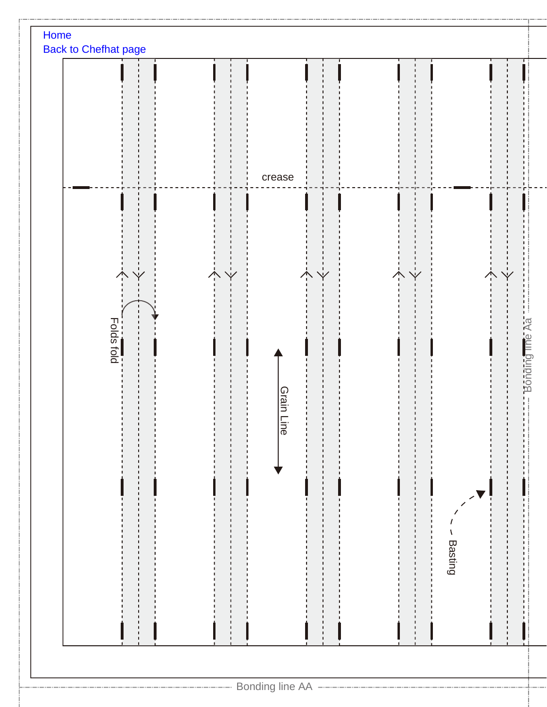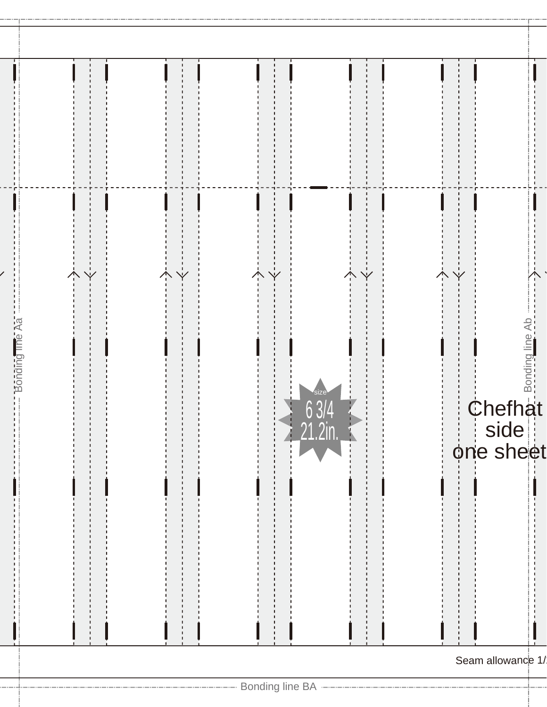| Bonding line Aa<br><i>size</i><br>63/4<br>$\geq 21.2$ in. | side<br>one sheet |
|-----------------------------------------------------------|-------------------|
|                                                           | Seam allowance 1/ |
|                                                           |                   |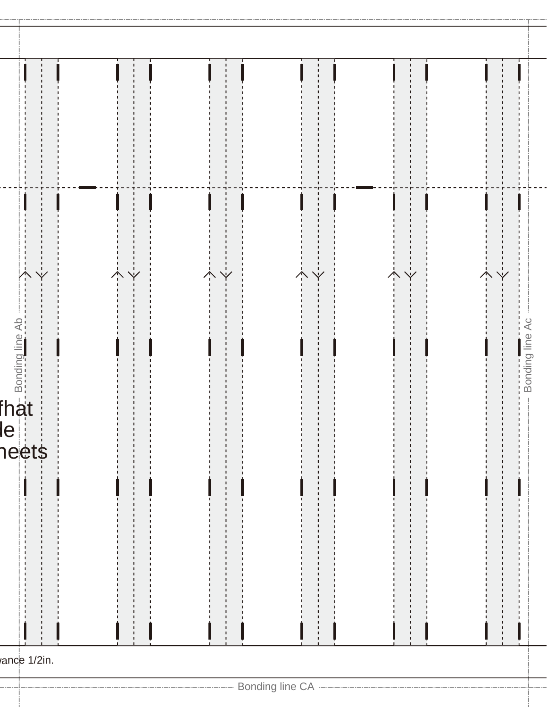| $\mathbf e$ | $\overline{\mathbf{y}}$<br>$\overline{\textbf{b}}$ $\overline{\textbf{b}}$ $\overline{\textbf{b}}$ $\overline{\textbf{b}}$ $\overline{\textbf{b}}$ $\overline{\textbf{b}}$ $\overline{\textbf{b}}$ $\overline{\textbf{b}}$ $\overline{\textbf{b}}$ $\overline{\textbf{b}}$ $\overline{\textbf{b}}$ $\overline{\textbf{b}}$ $\overline{\textbf{b}}$ $\overline{\textbf{b}}$ $\overline{\textbf{b}}$ $\overline{\textbf{b}}$ $\overline{\textbf{b}}$ $\overline{\textbf{b}}$ $\overline{\$<br>heet\$ |  |  | п | Y |  |  | ↑ | Bonding line Ac |  |
|-------------|----------------------------------------------------------------------------------------------------------------------------------------------------------------------------------------------------------------------------------------------------------------------------------------------------------------------------------------------------------------------------------------------------------------------------------------------------------------------------------------------------|--|--|---|---|--|--|---|-----------------|--|
|             | ance 1/2in.                                                                                                                                                                                                                                                                                                                                                                                                                                                                                        |  |  |   |   |  |  |   |                 |  |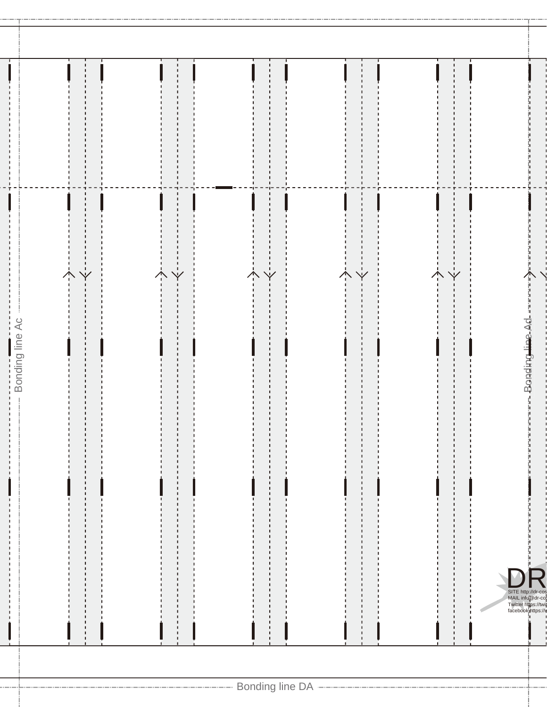|                 | ł<br>Y | ٠<br>٠<br>Y | $\mathbf{I}$                                                 | 1<br>ı                                                                              |
|-----------------|--------|-------------|--------------------------------------------------------------|-------------------------------------------------------------------------------------|
| Bonding line Ac |        | п           | $\mathbf{I}$<br>$\mathbf{I}$<br>$\mathbf{I}$<br>$\mathbf{I}$ | SITE http://dr-cos<br>MAIL info@dr-co;<br>Twitter https://wij<br>facebook.https://w |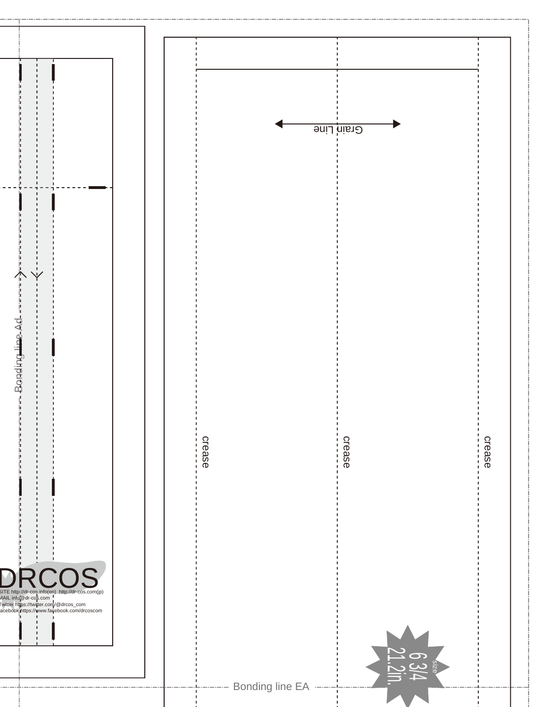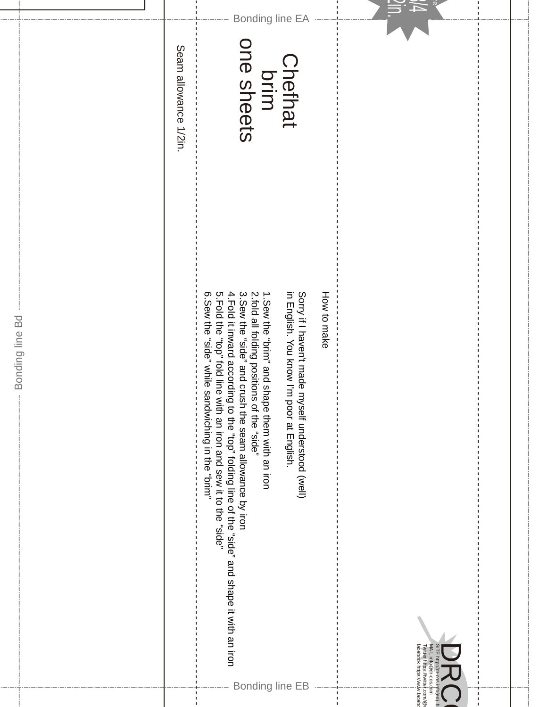|                 |                               | facebook https://www.faceb<br>MAIL info @dr-cos.d<br>Twitter https://twitte <mark>r</mark><br>com<br>©\moo.<br>o(en)                                                                                                                                                                                                                                                                              |
|-----------------|-------------------------------|---------------------------------------------------------------------------------------------------------------------------------------------------------------------------------------------------------------------------------------------------------------------------------------------------------------------------------------------------------------------------------------------------|
|                 |                               | How to make                                                                                                                                                                                                                                                                                                                                                                                       |
|                 |                               | in English. You know I'm<br>Sorry if I haven't made myself understood (well)<br>poor at English.                                                                                                                                                                                                                                                                                                  |
| Bonding line EA | Chefhat<br>brim<br>one sheets | S.Hold the "side" about the solution and searning the "side".<br>4.Fold it inward according to the "top" folding line of the "side" and shape it with an iron<br>2.fold all folding positions of the "side"<br>3.Sew the "side" and crush the seam allowance by iron<br>o. Sew the "side" while s<br>1. Sew the "prim" and shape them with an iron<br>andwiching in the "brim"<br>Bonding line EB |
|                 | Seam allowance 1/2in          |                                                                                                                                                                                                                                                                                                                                                                                                   |
|                 |                               |                                                                                                                                                                                                                                                                                                                                                                                                   |
|                 |                               | Bonding line Bd                                                                                                                                                                                                                                                                                                                                                                                   |